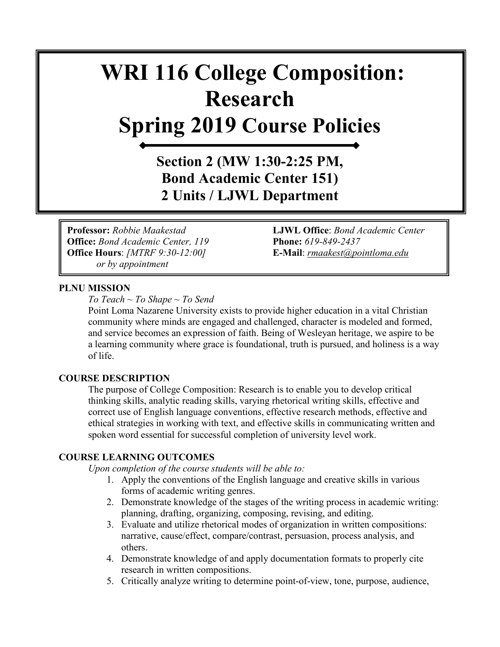# **WRI 116 College Composition: Research Spring 2019 Course Policies**

**Section 2 (MW 1:30-2:25 PM, Bond Academic Center 151) 2 Units / LJWL Department**

**Office:** *Bond Academic Center, 119* **Phone:** *619-849-2437* **Office Hours**: *[MTRF 9:30-12:00]* **E-Mail**: *[rmaakest@pointloma.edu](mailto:rmaakest@pointloma.edu)  or by appointment*

**Professor:** *Robbie Maakestad* **LJWL Office**: *Bond Academic Center* 

# **PLNU MISSION**

*To Teach ~ To Shape ~ To Send* 

Point Loma Nazarene University exists to provide higher education in a vital Christian community where minds are engaged and challenged, character is modeled and formed, and service becomes an expression of faith. Being of Wesleyan heritage, we aspire to be a learning community where grace is foundational, truth is pursued, and holiness is a way of life.

# **COURSE DESCRIPTION**

The purpose of College Composition: Research is to enable you to develop critical thinking skills, analytic reading skills, varying rhetorical writing skills, effective and correct use of English language conventions, effective research methods, effective and ethical strategies in working with text, and effective skills in communicating written and spoken word essential for successful completion of university level work.

#### **COURSE LEARNING OUTCOMES**

*Upon completion of the course students will be able to:*

- 1. Apply the conventions of the English language and creative skills in various forms of academic writing genres.
- 2. Demonstrate knowledge of the stages of the writing process in academic writing: planning, drafting, organizing, composing, revising, and editing.
- 3. Evaluate and utilize rhetorical modes of organization in written compositions: narrative, cause/effect, compare/contrast, persuasion, process analysis, and others.
- 4. Demonstrate knowledge of and apply documentation formats to properly cite research in written compositions.
- 5. Critically analyze writing to determine point-of-view, tone, purpose, audience,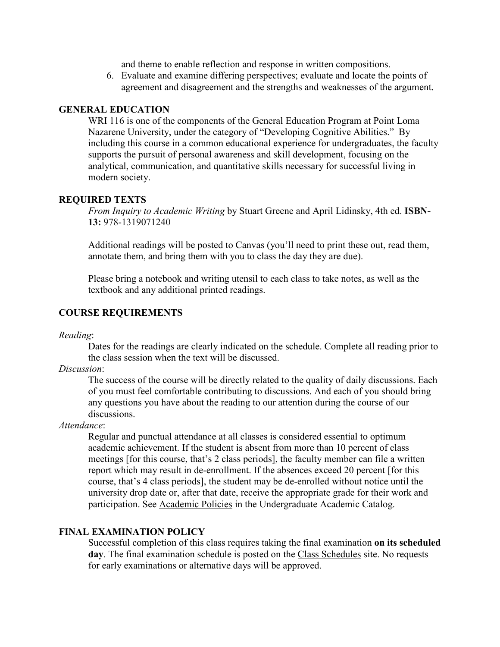and theme to enable reflection and response in written compositions.

6. Evaluate and examine differing perspectives; evaluate and locate the points of agreement and disagreement and the strengths and weaknesses of the argument.

# **GENERAL EDUCATION**

WRI 116 is one of the components of the General Education Program at Point Loma Nazarene University, under the category of "Developing Cognitive Abilities." By including this course in a common educational experience for undergraduates, the faculty supports the pursuit of personal awareness and skill development, focusing on the analytical, communication, and quantitative skills necessary for successful living in modern society.

# **REQUIRED TEXTS**

*From Inquiry to Academic Writing* by Stuart Greene and April Lidinsky, 4th ed. **ISBN-13:** 978-1319071240

Additional readings will be posted to Canvas (you'll need to print these out, read them, annotate them, and bring them with you to class the day they are due).

Please bring a notebook and writing utensil to each class to take notes, as well as the textbook and any additional printed readings.

# **COURSE REQUIREMENTS**

*Reading*:

Dates for the readings are clearly indicated on the schedule. Complete all reading prior to the class session when the text will be discussed.

*Discussion*:

The success of the course will be directly related to the quality of daily discussions. Each of you must feel comfortable contributing to discussions. And each of you should bring any questions you have about the reading to our attention during the course of our discussions.

*Attendance*:

Regular and punctual attendance at all classes is considered essential to optimum academic achievement. If the student is absent from more than 10 percent of class meetings [for this course, that's 2 class periods], the faculty member can file a written report which may result in de-enrollment. If the absences exceed 20 percent [for this course, that's 4 class periods], the student may be de-enrolled without notice until the university drop date or, after that date, receive the appropriate grade for their work and participation. See [Academic Policies](http://catalog.pointloma.edu/content.php?catoid=18&navoid=1278) in the Undergraduate Academic Catalog.

# **FINAL EXAMINATION POLICY**

Successful completion of this class requires taking the final examination **on its scheduled day**. The final examination schedule is posted on the [Class Schedules](http://www.pointloma.edu/experience/academics/class-schedules) site. No requests for early examinations or alternative days will be approved.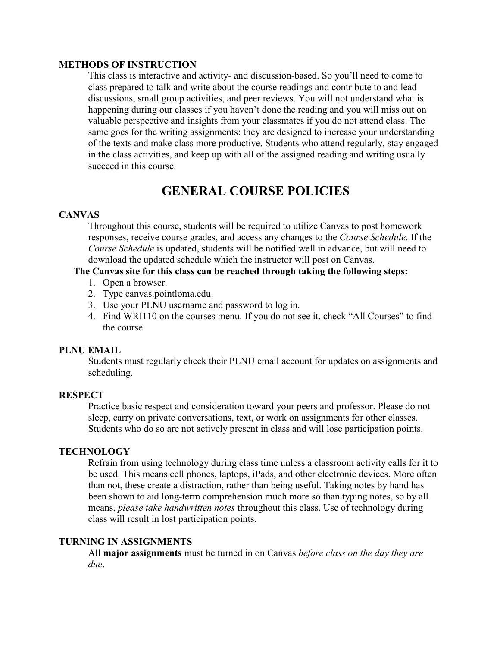## **METHODS OF INSTRUCTION**

This class is interactive and activity- and discussion-based. So you'll need to come to class prepared to talk and write about the course readings and contribute to and lead discussions, small group activities, and peer reviews. You will not understand what is happening during our classes if you haven't done the reading and you will miss out on valuable perspective and insights from your classmates if you do not attend class. The same goes for the writing assignments: they are designed to increase your understanding of the texts and make class more productive. Students who attend regularly, stay engaged in the class activities, and keep up with all of the assigned reading and writing usually succeed in this course.

# **GENERAL COURSE POLICIES**

# **CANVAS**

Throughout this course, students will be required to utilize Canvas to post homework responses, receive course grades, and access any changes to the *Course Schedule*. If the *Course Schedule* is updated, students will be notified well in advance, but will need to download the updated schedule which the instructor will post on Canvas.

# **The Canvas site for this class can be reached through taking the following steps:**

- 1. Open a browser.
- 2. Type [canvas.pointloma.edu.](http://canvas.pointloma.edu/)
- 3. Use your PLNU username and password to log in.
- 4. Find WRI110 on the courses menu. If you do not see it, check "All Courses" to find the course.

# **PLNU EMAIL**

Students must regularly check their PLNU email account for updates on assignments and scheduling.

# **RESPECT**

Practice basic respect and consideration toward your peers and professor. Please do not sleep, carry on private conversations, text, or work on assignments for other classes. Students who do so are not actively present in class and will lose participation points.

# **TECHNOLOGY**

Refrain from using technology during class time unless a classroom activity calls for it to be used. This means cell phones, laptops, iPads, and other electronic devices. More often than not, these create a distraction, rather than being useful. Taking notes by hand has been shown to aid long-term comprehension much more so than typing notes, so by all means, *please take handwritten notes* throughout this class. Use of technology during class will result in lost participation points.

# **TURNING IN ASSIGNMENTS**

All **major assignments** must be turned in on Canvas *before class on the day they are due*.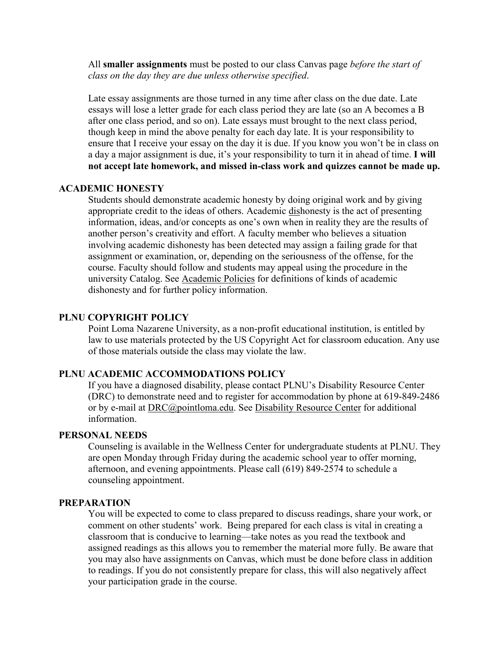All **smaller assignments** must be posted to our class Canvas page *before the start of class on the day they are due unless otherwise specified*.

Late essay assignments are those turned in any time after class on the due date. Late essays will lose a letter grade for each class period they are late (so an A becomes a B after one class period, and so on). Late essays must brought to the next class period, though keep in mind the above penalty for each day late. It is your responsibility to ensure that I receive your essay on the day it is due. If you know you won't be in class on a day a major assignment is due, it's your responsibility to turn it in ahead of time. **I will not accept late homework, and missed in-class work and quizzes cannot be made up.** 

# **ACADEMIC HONESTY**

Students should demonstrate academic honesty by doing original work and by giving appropriate credit to the ideas of others. Academic dishonesty is the act of presenting information, ideas, and/or concepts as one's own when in reality they are the results of another person's creativity and effort. A faculty member who believes a situation involving academic dishonesty has been detected may assign a failing grade for that assignment or examination, or, depending on the seriousness of the offense, for the course. Faculty should follow and students may appeal using the procedure in the university Catalog. See [Academic Policies](http://catalog.pointloma.edu/content.php?catoid=18&navoid=1278) for definitions of kinds of academic dishonesty and for further policy information.

#### **PLNU COPYRIGHT POLICY**

Point Loma Nazarene University, as a non-profit educational institution, is entitled by law to use materials protected by the US Copyright Act for classroom education. Any use of those materials outside the class may violate the law.

# **PLNU ACADEMIC ACCOMMODATIONS POLICY**

If you have a diagnosed disability, please contact PLNU's Disability Resource Center (DRC) to demonstrate need and to register for accommodation by phone at 619-849-2486 or by e-mail at [DRC@pointloma.edu.](mailto:DRC@pointloma.edu) See [Disability Resource Center](http://www.pointloma.edu/experience/offices/administrative-offices/academic-advising-office/disability-resource-center) for additional information.

# **PERSONAL NEEDS**

Counseling is available in the Wellness Center for undergraduate students at PLNU. They are open Monday through Friday during the academic school year to offer morning, afternoon, and evening appointments. Please call (619) 849-2574 to schedule a counseling appointment.

#### **PREPARATION**

You will be expected to come to class prepared to discuss readings, share your work, or comment on other students' work. Being prepared for each class is vital in creating a classroom that is conducive to learning—take notes as you read the textbook and assigned readings as this allows you to remember the material more fully. Be aware that you may also have assignments on Canvas, which must be done before class in addition to readings. If you do not consistently prepare for class, this will also negatively affect your participation grade in the course.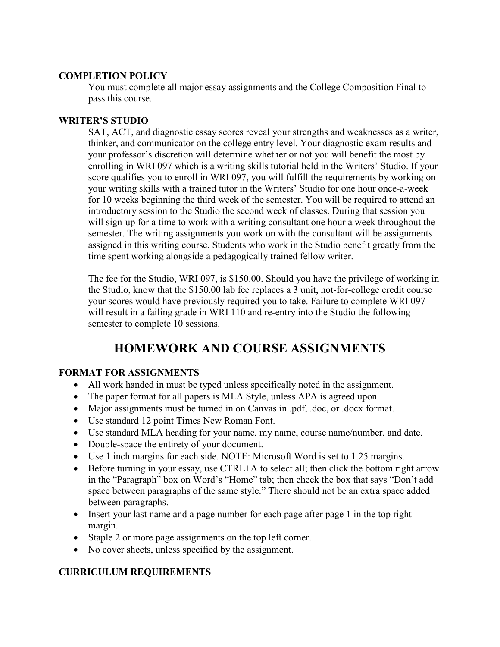# **COMPLETION POLICY**

You must complete all major essay assignments and the College Composition Final to pass this course.

# **WRITER'S STUDIO**

SAT, ACT, and diagnostic essay scores reveal your strengths and weaknesses as a writer, thinker, and communicator on the college entry level. Your diagnostic exam results and your professor's discretion will determine whether or not you will benefit the most by enrolling in WRI 097 which is a writing skills tutorial held in the Writers' Studio. If your score qualifies you to enroll in WRI 097, you will fulfill the requirements by working on your writing skills with a trained tutor in the Writers' Studio for one hour once-a-week for 10 weeks beginning the third week of the semester. You will be required to attend an introductory session to the Studio the second week of classes. During that session you will sign-up for a time to work with a writing consultant one hour a week throughout the semester. The writing assignments you work on with the consultant will be assignments assigned in this writing course. Students who work in the Studio benefit greatly from the time spent working alongside a pedagogically trained fellow writer.

The fee for the Studio, WRI 097, is \$150.00. Should you have the privilege of working in the Studio, know that the \$150.00 lab fee replaces a 3 unit, not-for-college credit course your scores would have previously required you to take. Failure to complete WRI 097 will result in a failing grade in WRI 110 and re-entry into the Studio the following semester to complete 10 sessions.

# **HOMEWORK AND COURSE ASSIGNMENTS**

# **FORMAT FOR ASSIGNMENTS**

- All work handed in must be typed unless specifically noted in the assignment.
- The paper format for all papers is MLA Style, unless APA is agreed upon.
- Major assignments must be turned in on Canvas in .pdf, .doc, or .docx format.
- Use standard 12 point Times New Roman Font.
- Use standard MLA heading for your name, my name, course name/number, and date.
- Double-space the entirety of your document.
- Use 1 inch margins for each side. NOTE: Microsoft Word is set to 1.25 margins.
- Before turning in your essay, use CTRL+A to select all; then click the bottom right arrow in the "Paragraph" box on Word's "Home" tab; then check the box that says "Don't add space between paragraphs of the same style." There should not be an extra space added between paragraphs.
- Insert your last name and a page number for each page after page 1 in the top right margin.
- Staple 2 or more page assignments on the top left corner.
- No cover sheets, unless specified by the assignment.

# **CURRICULUM REQUIREMENTS**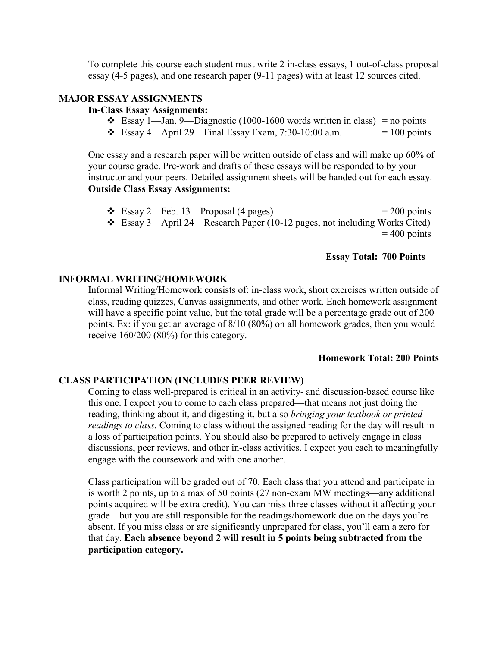To complete this course each student must write 2 in-class essays, 1 out-of-class proposal essay (4-5 pages), and one research paper (9-11 pages) with at least 12 sources cited.

# **MAJOR ESSAY ASSIGNMENTS**

## **In-Class Essay Assignments:**

- $\div$  Essay 1—Jan. 9—Diagnostic (1000-1600 words written in class) = no points
- $\div$  Essay 4—April 29—Final Essay Exam, 7:30-10:00 a.m. = 100 points

One essay and a research paper will be written outside of class and will make up 60% of your course grade. Pre-work and drafts of these essays will be responded to by your instructor and your peers. Detailed assignment sheets will be handed out for each essay. **Outside Class Essay Assignments:**

 $\div$  Essay 2—Feb. 13—Proposal (4 pages) = 200 points Essay 3—April 24—Research Paper (10-12 pages, not including Works Cited)  $= 400$  points

# **Essay Total: 700 Points**

# **INFORMAL WRITING/HOMEWORK**

Informal Writing/Homework consists of: in-class work, short exercises written outside of class, reading quizzes, Canvas assignments, and other work. Each homework assignment will have a specific point value, but the total grade will be a percentage grade out of 200 points. Ex: if you get an average of 8/10 (80%) on all homework grades, then you would receive 160/200 (80%) for this category.

#### **Homework Total: 200 Points**

#### **CLASS PARTICIPATION (INCLUDES PEER REVIEW)**

Coming to class well-prepared is critical in an activity- and discussion-based course like this one. I expect you to come to each class prepared—that means not just doing the reading, thinking about it, and digesting it, but also *bringing your textbook or printed readings to class.* Coming to class without the assigned reading for the day will result in a loss of participation points. You should also be prepared to actively engage in class discussions, peer reviews, and other in-class activities. I expect you each to meaningfully engage with the coursework and with one another.

Class participation will be graded out of 70. Each class that you attend and participate in is worth 2 points, up to a max of 50 points (27 non-exam MW meetings—any additional points acquired will be extra credit). You can miss three classes without it affecting your grade—but you are still responsible for the readings/homework due on the days you're absent. If you miss class or are significantly unprepared for class, you'll earn a zero for that day. **Each absence beyond 2 will result in 5 points being subtracted from the participation category.**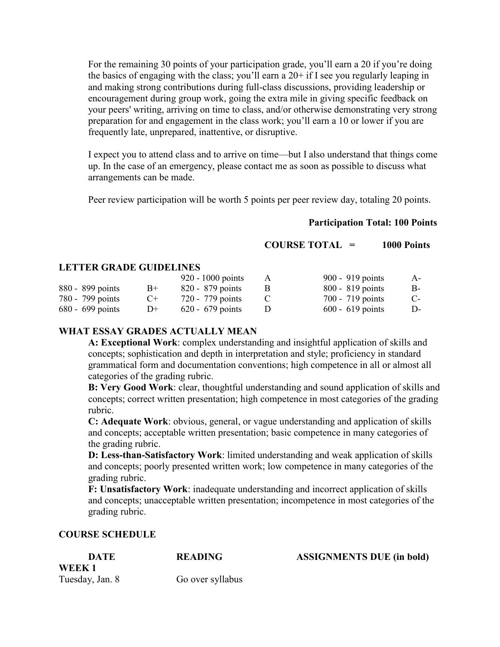For the remaining 30 points of your participation grade, you'll earn a 20 if you're doing the basics of engaging with the class; you'll earn a  $20+$  if I see you regularly leaping in and making strong contributions during full-class discussions, providing leadership or encouragement during group work, going the extra mile in giving specific feedback on your peers' writing, arriving on time to class, and/or otherwise demonstrating very strong preparation for and engagement in the class work; you'll earn a 10 or lower if you are frequently late, unprepared, inattentive, or disruptive.

I expect you to attend class and to arrive on time—but I also understand that things come up. In the case of an emergency, please contact me as soon as possible to discuss what arrangements can be made.

Peer review participation will be worth 5 points per peer review day, totaling 20 points.

# **Participation Total: 100 Points**

**COURSE TOTAL = 1000 Points**

# **LETTER GRADE GUIDELINES**

|                    |        | 920 - 1000 points  | A | 900 - 919 points   | $A-$  |
|--------------------|--------|--------------------|---|--------------------|-------|
| 880 - 899 points   | $B+$   | 820 - 879 points   |   | $800 - 819$ points | B-    |
| 780 - 799 points   | $($ +  | 720 - 779 points   |   | 700 - 719 points   | $C$ - |
| $680 - 699$ points | $1) +$ | $620 - 679$ points |   | $600 - 619$ points | D-    |

# **WHAT ESSAY GRADES ACTUALLY MEAN**

**A: Exceptional Work**: complex understanding and insightful application of skills and concepts; sophistication and depth in interpretation and style; proficiency in standard grammatical form and documentation conventions; high competence in all or almost all categories of the grading rubric.

**B: Very Good Work**: clear, thoughtful understanding and sound application of skills and concepts; correct written presentation; high competence in most categories of the grading rubric.

**C: Adequate Work**: obvious, general, or vague understanding and application of skills and concepts; acceptable written presentation; basic competence in many categories of the grading rubric.

**D: Less-than-Satisfactory Work**: limited understanding and weak application of skills and concepts; poorly presented written work; low competence in many categories of the grading rubric.

**F: Unsatisfactory Work**: inadequate understanding and incorrect application of skills and concepts; unacceptable written presentation; incompetence in most categories of the grading rubric.

# **COURSE SCHEDULE**

| <b>DATE</b>     | <b>READING</b>   | <b>ASSIGNMENTS DUE (in bold)</b> |
|-----------------|------------------|----------------------------------|
| WEEK 1          |                  |                                  |
| Tuesday, Jan. 8 | Go over syllabus |                                  |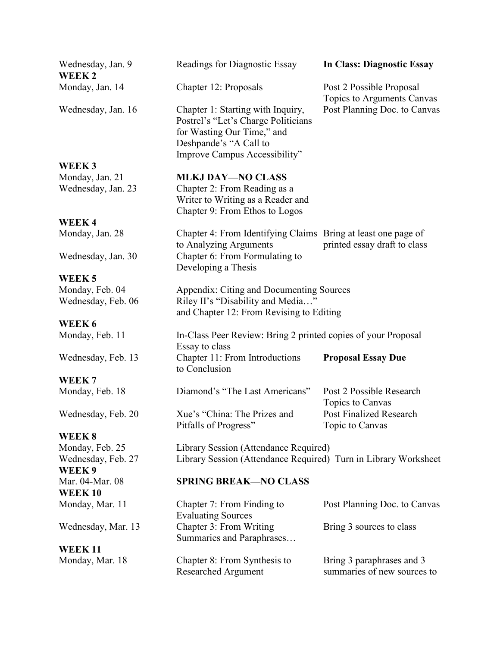**WEEK 2**

**WEEK 3**

**WEEK 4**

**WEEK 5**

**WEEK 6**

**WEEK 7** 

# **WEEK 8**

**WEEK 9 WEEK 10** Monday, Mar. 11

Wednesday, Mar. 13

**WEEK 11** Monday, Mar. 18

Wednesday, Jan. 9 Readings for Diagnostic Essay **In Class: Diagnostic Essay** 

Wednesday, Jan. 16 Chapter 1: Starting with Inquiry, Post Planning Doc. to Canvas Postrel's "Let's Charge Politicians for Wasting Our Time," and Deshpande's "A Call to Improve Campus Accessibility"

Monday, Jan. 21 **MLKJ DAY—NO CLASS** Wednesday, Jan. 23 Chapter 2: From Reading as a Writer to Writing as a Reader and Chapter 9: From Ethos to Logos

Monday, Jan. 28 Chapter 4: From Identifying Claims Bring at least one page of to Analyzing Arguments printed essay draft to class Wednesday, Jan. 30 Chapter 6: From Formulating to Developing a Thesis

Monday, Feb. 04 Appendix: Citing and Documenting Sources Wednesday, Feb. 06 Riley II's "Disability and Media..." and Chapter 12: From Revising to Editing

Monday, Feb. 11 In-Class Peer Review: Bring 2 printed copies of your Proposal Essay to class Wednesday, Feb. 13 Chapter 11: From Introductions **Proposal Essay Due** to Conclusion

Monday, Feb. 18 Diamond's "The Last Americans" Post 2 Possible Research Topics to Canvas Wednesday, Feb. 20 Xue's "China: The Prizes and Post Finalized Research Pitfalls of Progress" Topic to Canvas

Monday, Feb. 25 Library Session (Attendance Required) Wednesday, Feb. 27 Library Session (Attendance Required) Turn in Library Worksheet

#### Mar. 04-Mar. 08 **SPRING BREAK—NO CLASS**

| Bring 3 sources to class    |
|-----------------------------|
|                             |
|                             |
| Bring 3 paraphrases and 3   |
| summaries of new sources to |
|                             |

Monday, Jan. 14 Chapter 12: Proposals Post 2 Possible Proposal Topics to Arguments Canvas